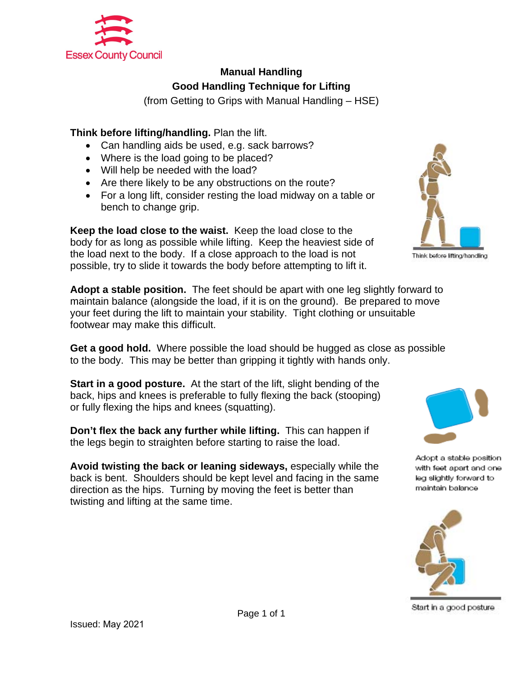

## **Manual Handling Good Handling Technique for Lifting**

(from Getting to Grips with Manual Handling – HSE)

## **Think before lifting/handling.** Plan the lift.

- Can handling aids be used, e.g. sack barrows?
- Where is the load going to be placed?
- Will help be needed with the load?
- Are there likely to be any obstructions on the route?
- For a long lift, consider resting the load midway on a table or bench to change grip.

**Keep the load close to the waist.** Keep the load close to the body for as long as possible while lifting. Keep the heaviest side of the load next to the body. If a close approach to the load is not possible, try to slide it towards the body before attempting to lift it.

**Adopt a stable position.** The feet should be apart with one leg slightly forward to maintain balance (alongside the load, if it is on the ground). Be prepared to move your feet during the lift to maintain your stability. Tight clothing or unsuitable footwear may make this difficult.

**Get a good hold.** Where possible the load should be hugged as close as possible to the body. This may be better than gripping it tightly with hands only.

**Start in a good posture.** At the start of the lift, slight bending of the back, hips and knees is preferable to fully flexing the back (stooping) or fully flexing the hips and knees (squatting).

**Don't flex the back any further while lifting.** This can happen if the legs begin to straighten before starting to raise the load.

**Avoid twisting the back or leaning sideways,** especially while the back is bent. Shoulders should be kept level and facing in the same direction as the hips. Turning by moving the feet is better than twisting and lifting at the same time.





Adopt a stable position with feet apart and one leg slightly forward to maintain balance



Start in a good posture